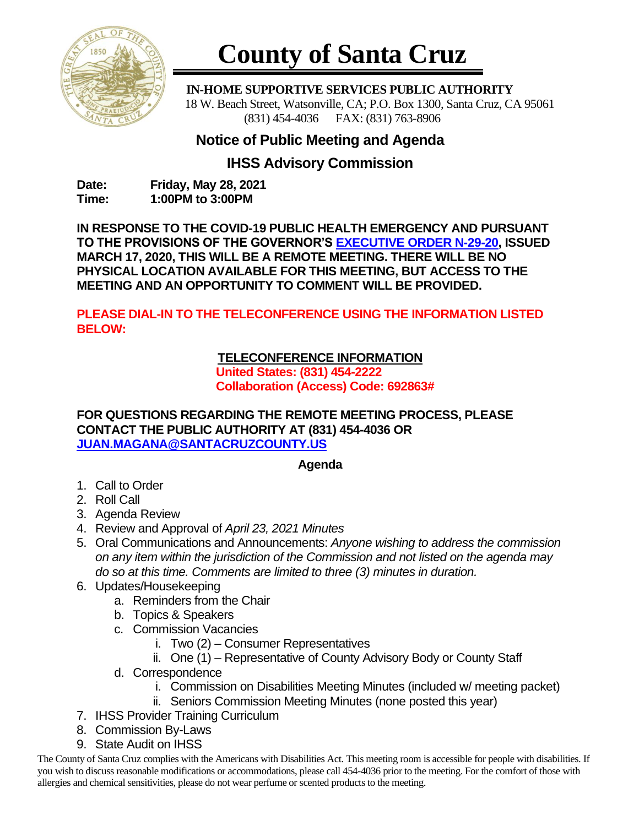

# **County of Santa Cruz**

 **IN-HOME SUPPORTIVE SERVICES PUBLIC AUTHORITY** 18 W. Beach Street, Watsonville, CA; P.O. Box 1300, Santa Cruz, CA 95061 (831) 454-4036 FAX: (831) 763-8906

# **Notice of Public Meeting and Agenda**

## **IHSS Advisory Commission**

**Date: Friday, May 28, 2021 Time: 1:00PM to 3:00PM**

**IN RESPONSE TO THE COVID-19 PUBLIC HEALTH EMERGENCY AND PURSUANT TO THE PROVISIONS OF THE GOVERNOR'S [EXECUTIVE ORDER N-29-20,](https://www.gov.ca.gov/wp-content/uploads/2020/03/3.17.20-N-29-20-EO.pdf) ISSUED MARCH 17, 2020, THIS WILL BE A REMOTE MEETING. THERE WILL BE NO PHYSICAL LOCATION AVAILABLE FOR THIS MEETING, BUT ACCESS TO THE MEETING AND AN OPPORTUNITY TO COMMENT WILL BE PROVIDED.**

**PLEASE DIAL-IN TO THE TELECONFERENCE USING THE INFORMATION LISTED BELOW:**

## **TELECONFERENCE INFORMATION**

**United States: (831) 454-2222 Collaboration (Access) Code: 692863#**

#### **FOR QUESTIONS REGARDING THE REMOTE MEETING PROCESS, PLEASE CONTACT THE PUBLIC AUTHORITY AT (831) 454-4036 OR [JUAN.MAGANA@SANTACRUZCOUNTY.US](mailto:JUAN.MAGANA@SANTACRUZCOUNTY.US)**

### **Agenda**

- 1. Call to Order
- 2. Roll Call
- 3. Agenda Review
- 4. Review and Approval of *April 23, 2021 Minutes*
- 5. Oral Communications and Announcements: *Anyone wishing to address the commission on any item within the jurisdiction of the Commission and not listed on the agenda may do so at this time. Comments are limited to three (3) minutes in duration.*
- 6. Updates/Housekeeping
	- a. Reminders from the Chair
	- b. Topics & Speakers
	- c. Commission Vacancies
		- i. Two (2) Consumer Representatives
		- ii. One (1) Representative of County Advisory Body or County Staff
	- d. Correspondence
		- i. Commission on Disabilities Meeting Minutes (included w/ meeting packet)
		- ii. Seniors Commission Meeting Minutes (none posted this year)
- 7. IHSS Provider Training Curriculum
- 8. Commission By-Laws
- 9. State Audit on IHSS

The County of Santa Cruz complies with the Americans with Disabilities Act. This meeting room is accessible for people with disabilities. If you wish to discuss reasonable modifications or accommodations, please call 454-4036 prior to the meeting. For the comfort of those with allergies and chemical sensitivities, please do not wear perfume or scented products to the meeting.